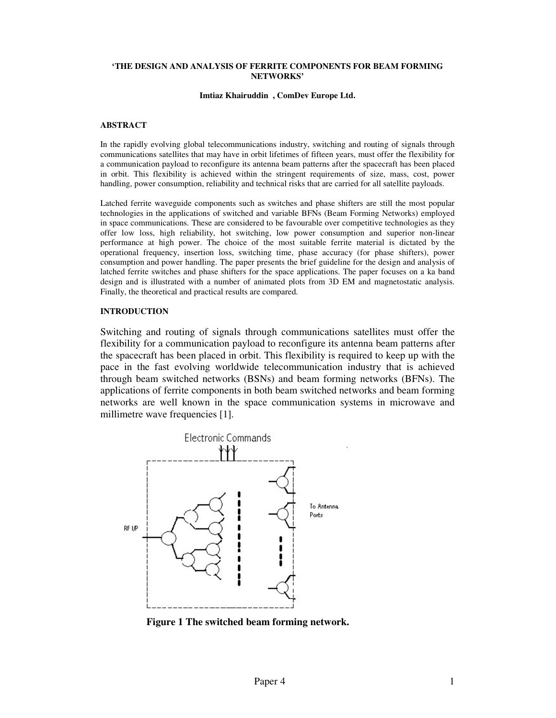#### **'THE DESIGN AND ANALYSIS OF FERRITE COMPONENTS FOR BEAM FORMING NETWORKS'**

#### **Imtiaz Khairuddin , ComDev Europe Ltd.**

#### **ABSTRACT**

In the rapidly evolving global telecommunications industry, switching and routing of signals through communications satellites that may have in orbit lifetimes of fifteen years, must offer the flexibility for a communication payload to reconfigure its antenna beam patterns after the spacecraft has been placed in orbit. This flexibility is achieved within the stringent requirements of size, mass, cost, power handling, power consumption, reliability and technical risks that are carried for all satellite payloads.

Latched ferrite waveguide components such as switches and phase shifters are still the most popular technologies in the applications of switched and variable BFNs (Beam Forming Networks) employed in space communications. These are considered to be favourable over competitive technologies as they offer low loss, high reliability, hot switching, low power consumption and superior non-linear performance at high power. The choice of the most suitable ferrite material is dictated by the operational frequency, insertion loss, switching time, phase accuracy (for phase shifters), power consumption and power handling. The paper presents the brief guideline for the design and analysis of latched ferrite switches and phase shifters for the space applications. The paper focuses on a ka band design and is illustrated with a number of animated plots from 3D EM and magnetostatic analysis. Finally, the theoretical and practical results are compared.

#### **INTRODUCTION**

Switching and routing of signals through communications satellites must offer the flexibility for a communication payload to reconfigure its antenna beam patterns after the spacecraft has been placed in orbit. This flexibility is required to keep up with the pace in the fast evolving worldwide telecommunication industry that is achieved through beam switched networks (BSNs) and beam forming networks (BFNs). The applications of ferrite components in both beam switched networks and beam forming networks are well known in the space communication systems in microwave and millimetre wave frequencies [1].



**Figure 1 The switched beam forming network.**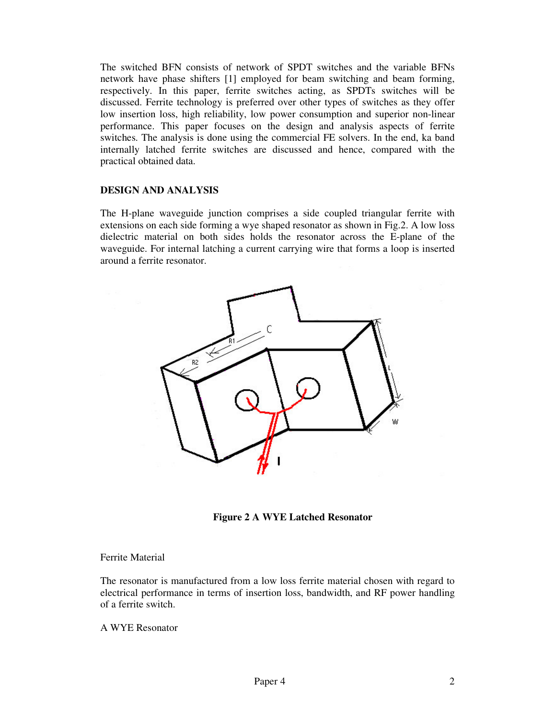The switched BFN consists of network of SPDT switches and the variable BFNs network have phase shifters [1] employed for beam switching and beam forming, respectively. In this paper, ferrite switches acting, as SPDTs switches will be discussed. Ferrite technology is preferred over other types of switches as they offer low insertion loss, high reliability, low power consumption and superior non-linear performance. This paper focuses on the design and analysis aspects of ferrite switches. The analysis is done using the commercial FE solvers. In the end, ka band internally latched ferrite switches are discussed and hence, compared with the practical obtained data.

### **DESIGN AND ANALYSIS**

The H-plane waveguide junction comprises a side coupled triangular ferrite with extensions on each side forming a wye shaped resonator as shown in Fig.2. A low loss dielectric material on both sides holds the resonator across the E-plane of the waveguide. For internal latching a current carrying wire that forms a loop is inserted around a ferrite resonator.



**Figure 2 A WYE Latched Resonator**

#### Ferrite Material

The resonator is manufactured from a low loss ferrite material chosen with regard to electrical performance in terms of insertion loss, bandwidth, and RF power handling of a ferrite switch.

A WYE Resonator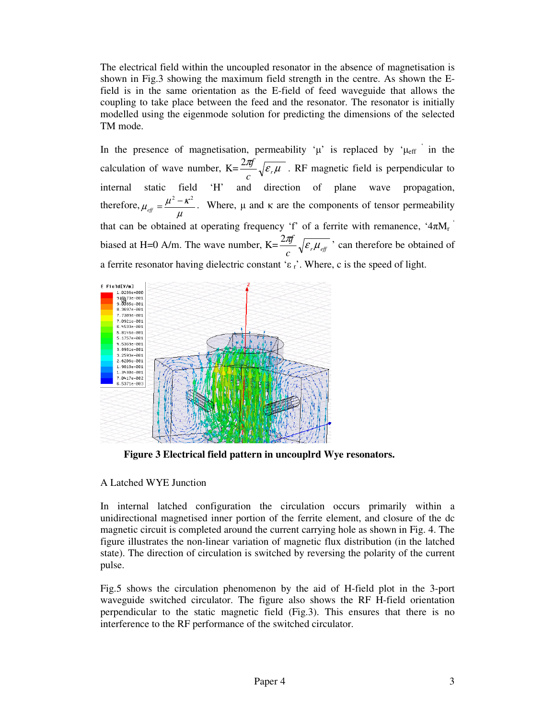The electrical field within the uncoupled resonator in the absence of magnetisation is shown in Fig.3 showing the maximum field strength in the centre. As shown the Efield is in the same orientation as the E-field of feed waveguide that allows the coupling to take place between the feed and the resonator. The resonator is initially modelled using the eigenmode solution for predicting the dimensions of the selected TM mode.

In the presence of magnetisation, permeability ' $\mu$ ' is replaced by ' $\mu_{eff}$ ' in the calculation of wave number,  $K = \frac{2\pi f}{\sqrt{\varepsilon_r \mu}}$  $c \sqrt{\epsilon_r}$  $\frac{2\pi f}{\sqrt{\varepsilon_r\mu}}$ . RF magnetic field is perpendicular to internal static field 'H' and direction of plane wave propagation, therefore,  $\mu_{\text{eff}} = \frac{\mu^2 - \kappa}{\sigma}$  $\mu$  $\mu_{\text{eff}} = \frac{\mu^2 - \kappa^2}{\mu^2}$ . Where,  $\mu$  and  $\kappa$  are the components of tensor permeability that can be obtained at operating frequency 'f' of a ferrite with remanence, ' $4\pi M_r$ ' biased at H=0 A/m. The wave number,  $K = \frac{2r}{c} \sqrt{\varepsilon_r \mu_{\text{eff}}}$  $\frac{2\pi f}{\sqrt{\varepsilon_r \mu_{\text{eff}}}}$ , can therefore be obtained of a ferrite resonator having dielectric constant ' $\varepsilon$ <sub>r</sub>'. Where, c is the speed of light.



**Figure 3 Electrical field pattern in uncouplrd Wye resonators.**

### A Latched WYE Junction

In internal latched configuration the circulation occurs primarily within a unidirectional magnetised inner portion of the ferrite element, and closure of the dc magnetic circuit is completed around the current carrying hole as shown in Fig. 4. The figure illustrates the non-linear variation of magnetic flux distribution (in the latched state). The direction of circulation is switched by reversing the polarity of the current pulse.

Fig.5 shows the circulation phenomenon by the aid of H-field plot in the 3-port waveguide switched circulator. The figure also shows the RF H-field orientation perpendicular to the static magnetic field (Fig.3). This ensures that there is no interference to the RF performance of the switched circulator.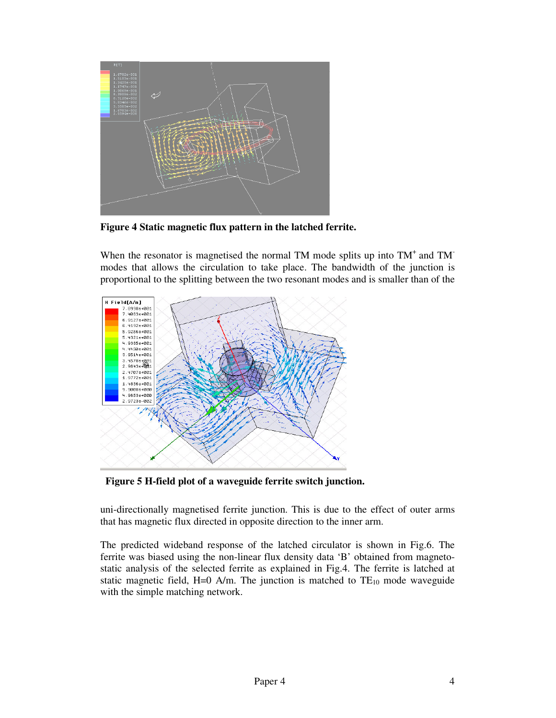

**Figure 4 Static magnetic flux pattern in the latched ferrite.**

When the resonator is magnetised the normal TM mode splits up into  $TM<sup>+</sup>$  and TM modes that allows the circulation to take place. The bandwidth of the junction is proportional to the splitting between the two resonant modes and is smaller than of the



**Figure 5 H-field plot of a waveguide ferrite switch junction.**

uni-directionally magnetised ferrite junction. This is due to the effect of outer arms that has magnetic flux directed in opposite direction to the inner arm.

The predicted wideband response of the latched circulator is shown in Fig.6. The ferrite was biased using the non-linear flux density data 'B' obtained from magnetostatic analysis of the selected ferrite as explained in Fig.4. The ferrite is latched at static magnetic field, H=0 A/m. The junction is matched to  $TE_{10}$  mode waveguide with the simple matching network.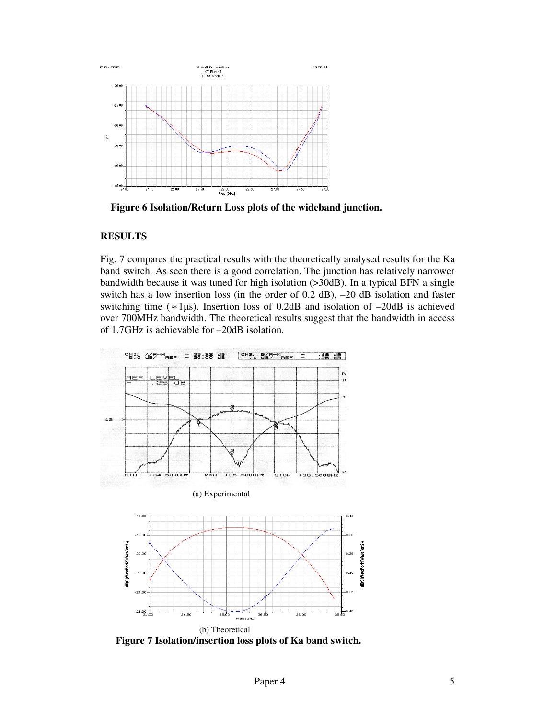

**Figure 6 Isolation/Return Loss plots of the wideband junction.**

## **RESULTS**

Fig. 7 compares the practical results with the theoretically analysed results for the Ka band switch. As seen there is a good correlation. The junction has relatively narrower bandwidth because it was tuned for high isolation (>30dB). In a typical BFN a single switch has a low insertion loss (in the order of 0.2 dB), –20 dB isolation and faster switching time ( $\approx$ 1µs). Insertion loss of 0.2dB and isolation of  $-20$ dB is achieved over 700MHz bandwidth. The theoretical results suggest that the bandwidth in access of 1.7GHz is achievable for –20dB isolation.



**Figure 7 Isolation/insertion loss plots of Ka band switch.**